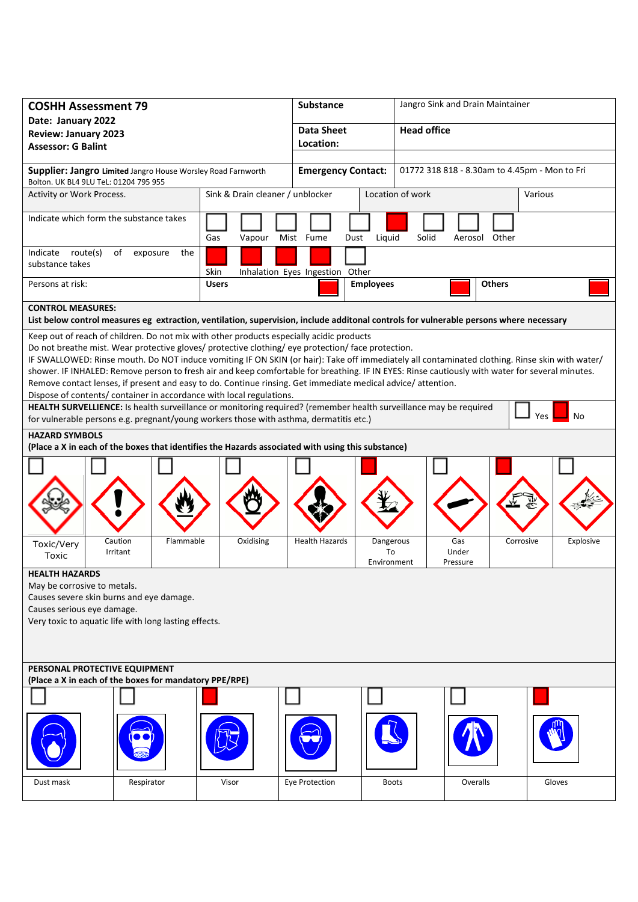| <b>COSHH Assessment 79</b>                                                                                                                                                                                                                                                                                                                                                                                                                                                                          |                                  |                                  | Substance                       |                                               | Jangro Sink and Drain Maintainer |               |           |  |
|-----------------------------------------------------------------------------------------------------------------------------------------------------------------------------------------------------------------------------------------------------------------------------------------------------------------------------------------------------------------------------------------------------------------------------------------------------------------------------------------------------|----------------------------------|----------------------------------|---------------------------------|-----------------------------------------------|----------------------------------|---------------|-----------|--|
| Date: January 2022                                                                                                                                                                                                                                                                                                                                                                                                                                                                                  |                                  |                                  | <b>Data Sheet</b>               |                                               | <b>Head office</b>               |               |           |  |
| <b>Review: January 2023</b><br><b>Assessor: G Balint</b>                                                                                                                                                                                                                                                                                                                                                                                                                                            |                                  |                                  | Location:                       |                                               |                                  |               |           |  |
|                                                                                                                                                                                                                                                                                                                                                                                                                                                                                                     |                                  |                                  |                                 |                                               |                                  |               |           |  |
| Supplier: Jangro Limited Jangro House Worsley Road Farnworth<br>Bolton. UK BL4 9LU TeL: 01204 795 955                                                                                                                                                                                                                                                                                                                                                                                               |                                  |                                  | <b>Emergency Contact:</b>       | 01772 318 818 - 8.30am to 4.45pm - Mon to Fri |                                  |               |           |  |
| Activity or Work Process.                                                                                                                                                                                                                                                                                                                                                                                                                                                                           |                                  | Sink & Drain cleaner / unblocker |                                 |                                               | Location of work                 |               | Various   |  |
| Indicate which form the substance takes                                                                                                                                                                                                                                                                                                                                                                                                                                                             |                                  | Gas<br>Vapour                    | Mist Fume<br>Dust               | Liquid                                        | Solid                            | Aerosol Other |           |  |
| Indicate route(s)<br>substance takes                                                                                                                                                                                                                                                                                                                                                                                                                                                                | of<br>exposure<br>the            | Skin                             | Inhalation Eyes Ingestion Other |                                               |                                  |               |           |  |
| Persons at risk:                                                                                                                                                                                                                                                                                                                                                                                                                                                                                    |                                  | <b>Users</b>                     |                                 | <b>Employees</b><br><b>Others</b>             |                                  |               |           |  |
| <b>CONTROL MEASURES:</b>                                                                                                                                                                                                                                                                                                                                                                                                                                                                            |                                  |                                  |                                 |                                               |                                  |               |           |  |
| List below control measures eg extraction, ventilation, supervision, include additonal controls for vulnerable persons where necessary                                                                                                                                                                                                                                                                                                                                                              |                                  |                                  |                                 |                                               |                                  |               |           |  |
| Keep out of reach of children. Do not mix with other products especially acidic products<br>Do not breathe mist. Wear protective gloves/ protective clothing/ eye protection/ face protection.<br>IF SWALLOWED: Rinse mouth. Do NOT induce vomiting IF ON SKIN (or hair): Take off immediately all contaminated clothing. Rinse skin with water/<br>shower. IF INHALED: Remove person to fresh air and keep comfortable for breathing. IF IN EYES: Rinse cautiously with water for several minutes. |                                  |                                  |                                 |                                               |                                  |               |           |  |
| Remove contact lenses, if present and easy to do. Continue rinsing. Get immediate medical advice/attention.                                                                                                                                                                                                                                                                                                                                                                                         |                                  |                                  |                                 |                                               |                                  |               |           |  |
| Dispose of contents/ container in accordance with local regulations.                                                                                                                                                                                                                                                                                                                                                                                                                                |                                  |                                  |                                 |                                               |                                  |               |           |  |
| HEALTH SURVELLIENCE: Is health surveillance or monitoring required? (remember health surveillance may be required<br>Yes<br>No<br>for vulnerable persons e.g. pregnant/young workers those with asthma, dermatitis etc.)                                                                                                                                                                                                                                                                            |                                  |                                  |                                 |                                               |                                  |               |           |  |
| <b>HAZARD SYMBOLS</b><br>(Place a X in each of the boxes that identifies the Hazards associated with using this substance)                                                                                                                                                                                                                                                                                                                                                                          |                                  |                                  |                                 |                                               |                                  |               |           |  |
|                                                                                                                                                                                                                                                                                                                                                                                                                                                                                                     |                                  |                                  |                                 |                                               |                                  |               |           |  |
| Toxic/Very<br>Toxic                                                                                                                                                                                                                                                                                                                                                                                                                                                                                 | Caution<br>Flammable<br>Irritant | Oxidising                        | <b>Health Hazards</b>           | Dangerous<br>To<br>Environment                | Gas<br>Under<br>Pressure         | Corrosive     | Explosive |  |
| <b>HEALTH HAZARDS</b><br>May be corrosive to metals.<br>Causes severe skin burns and eye damage.<br>Causes serious eye damage.<br>Very toxic to aquatic life with long lasting effects.                                                                                                                                                                                                                                                                                                             |                                  |                                  |                                 |                                               |                                  |               |           |  |
| PERSONAL PROTECTIVE EQUIPMENT<br>(Place a X in each of the boxes for mandatory PPE/RPE)                                                                                                                                                                                                                                                                                                                                                                                                             |                                  |                                  |                                 |                                               |                                  |               |           |  |
|                                                                                                                                                                                                                                                                                                                                                                                                                                                                                                     |                                  |                                  |                                 |                                               |                                  |               |           |  |
|                                                                                                                                                                                                                                                                                                                                                                                                                                                                                                     |                                  |                                  |                                 |                                               |                                  |               |           |  |
| Dust mask                                                                                                                                                                                                                                                                                                                                                                                                                                                                                           | Respirator                       | Visor                            | Eye Protection                  | <b>Boots</b>                                  |                                  | Overalls      | Gloves    |  |